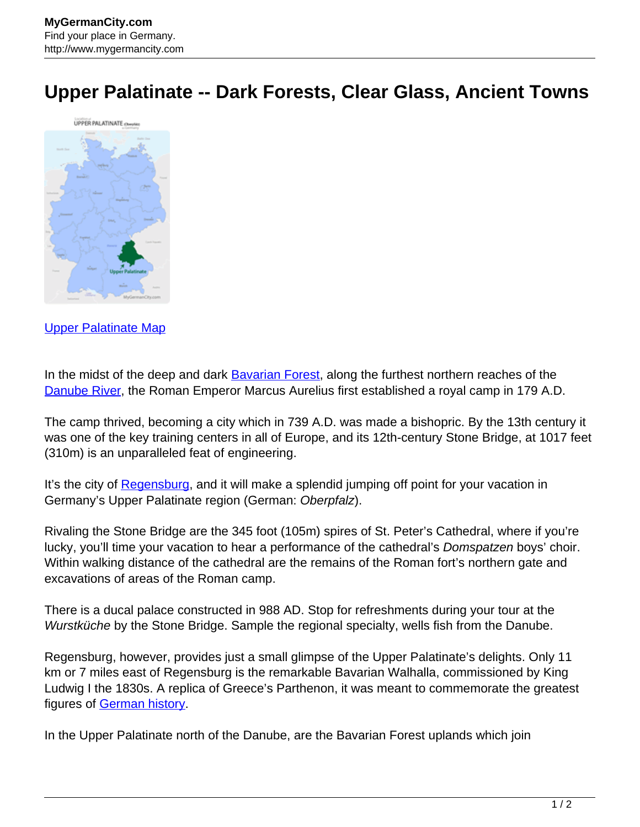## **Upper Palatinate -- Dark Forests, Clear Glass, Ancient Towns**



[Upper Palatinate Map](http://www.mygermancity.com/upper-palatinate-map)

In the midst of the deep and dark [Bavarian Forest,](http://www.mygermancity.com/bavarian-forest) along the furthest northern reaches of the [Danube River,](http://www.mygermancity.com/danube) the Roman Emperor Marcus Aurelius first established a royal camp in 179 A.D.

The camp thrived, becoming a city which in 739 A.D. was made a bishopric. By the 13th century it was one of the key training centers in all of Europe, and its 12th-century Stone Bridge, at 1017 feet (310m) is an unparalleled feat of engineering.

It's the city of [Regensburg](http://www.mygermancity.com/regensburg), and it will make a splendid jumping off point for your vacation in Germany's Upper Palatinate region (German: Oberpfalz).

Rivaling the Stone Bridge are the 345 foot (105m) spires of St. Peter's Cathedral, where if you're lucky, you'll time your vacation to hear a performance of the cathedral's Domspatzen boys' choir. Within walking distance of the cathedral are the remains of the Roman fort's northern gate and excavations of areas of the Roman camp.

There is a ducal palace constructed in 988 AD. Stop for refreshments during your tour at the Wurstküche by the Stone Bridge. Sample the regional specialty, wells fish from the Danube.

Regensburg, however, provides just a small glimpse of the Upper Palatinate's delights. Only 11 km or 7 miles east of Regensburg is the remarkable Bavarian Walhalla, commissioned by King Ludwig I the 1830s. A replica of Greece's Parthenon, it was meant to commemorate the greatest figures of [German history](http://www.mygermancity.com/german-history).

In the Upper Palatinate north of the Danube, are the Bavarian Forest uplands which join